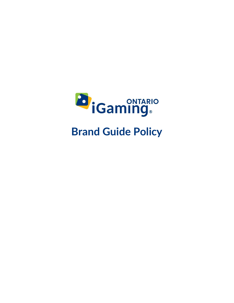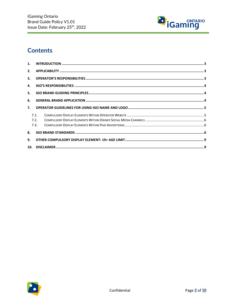

# **Contents**

| 2.  |      |  |
|-----|------|--|
| 3.  |      |  |
| 4.  |      |  |
| 5.  |      |  |
| 6.  |      |  |
| 7.  |      |  |
|     | 7.1. |  |
|     | 7.2. |  |
|     | 7.3. |  |
| 8.  |      |  |
| 9.  |      |  |
| 10. |      |  |

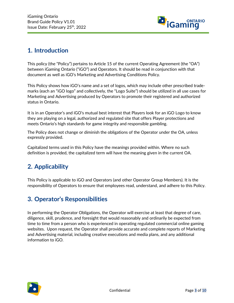

### <span id="page-2-0"></span>**1. Introduction**

This policy (the "Policy") pertains to Article 15 of the current Operating Agreement (the "OA") between iGaming Ontario ("iGO") and Operators. It should be read in conjunction with that document as well as iGO's Marketing and Advertising Conditions Policy.

This Policy shows how iGO's name and a set of logos, which may include other prescribed trademarks (each an "iGO logo" and collectively, the "Logo Suite") should be utilized in all use cases for Marketing and Advertising produced by Operators to promote their registered and authorized status in Ontario.

It is in an Operator's and iGO's mutual best interest that Players look for an iGO Logo to know they are playing on a legal, authorized and regulated site that offers Player protections and meets Ontario's high standards for game integrity and responsible gambling.

The Policy does not change or diminish the obligations of the Operator under the OA, unless expressly provided.

Capitalized terms used in this Policy have the meanings provided within. Where no such definition is provided, the capitalized term will have the meaning given in the current OA.

# <span id="page-2-1"></span>**2. Applicability**

This Policy is applicable to iGO and Operators (and other Operator Group Members). It is the responsibility of Operators to ensure that employees read, understand, and adhere to this Policy.

# <span id="page-2-2"></span>**3. Operator's Responsibilities**

In performing the Operator Obligations, the Operator will exercise at least that degree of care, diligence, skill, prudence, and foresight that would reasonably and ordinarily be expected from time to time from a person who is experienced in operating regulated commercial online gaming websites. Upon request, the Operator shall provide accurate and complete reports of Marketing and Advertising material, including creative executions and media plans, and any additional information to iGO.

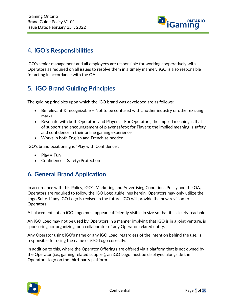

### <span id="page-3-0"></span>**4. iGO's Responsibilities**

iGO's senior management and all employees are responsible for working cooperatively with Operators as required on all issues to resolve them in a timely manner. iGO is also responsible for acting in accordance with the OA.

## <span id="page-3-1"></span>**5. iGO Brand Guiding Principles**

The guiding principles upon which the iGO brand was developed are as follows:

- Be relevant  $\&$  recognizable Not to be confused with another industry or other existing marks
- Resonate with both Operators and Players For Operators, the implied meaning is that of support and encouragement of player safety; for Players; the implied meaning is safety and confidence in their online gaming experience
- Works in both English and French as needed

iGO's brand positioning is "Play with Confidence":

- Play =  $Fun$
- Confidence = Safety/Protection

## <span id="page-3-2"></span>**6. General Brand Application**

In accordance with this Policy, iGO's Marketing and Advertising Conditions Policy and the OA*,*  Operators are required to follow the iGO Logo guidelines herein. Operators may only utilize the Logo Suite. If any iGO Logo is revised in the future, iGO will provide the new revision to Operators.

All placements of an iGO Logo must appear sufficiently visible in size so that it is clearly readable.

An iGO Logo may not be used by Operators in a manner implying that iGO is in a joint venture, is sponsoring, co-organizing, or a collaborator of any Operator-related entity.

Any Operator using iGO's name or any iGO Logo, regardless of the intention behind the use, is responsible for using the name or iGO Logo correctly.

In addition to this, where the Operator Offerings are offered via a platform that is not owned by the Operator (i.e., gaming related supplier), an iGO Logo must be displayed alongside the Operator's logo on the third-party platform.

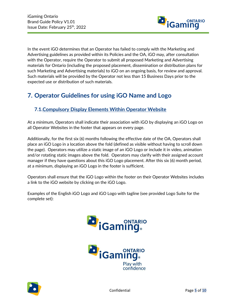

In the event iGO determines that an Operator has failed to comply with the Marketing and Advertising guidelines as provided within its Policies and the OA, iGO may, after consultation with the Operator, require the Operator to submit all proposed Marketing and Advertising materials for Ontario (including the proposed placement, dissemination or distribution plans for such Marketing and Advertising materials) to iGO on an ongoing basis, for review and approval. Such materials will be provided by the Operator not less than 15 Business Days prior to the expected use or distribution of such materials.

## <span id="page-4-0"></span>**7. Operator Guidelines for using iGO Name and Logo**

#### <span id="page-4-1"></span>**7.1.Compulsory Display Elements Within Operator Website**

At a minimum, Operators shall indicate their association with iGO by displaying an iGO Logo on all Operator Websites in the footer that appears on every page.

Additionally, for the first six (6) months following the effective date of the OA, Operators shall place an iGO Logo in a location above the fold (defined as visible without having to scroll down the page). Operators may utilize a static image of an iGO Logo or include it in video, animation and/or rotating static images above the fold. Operators may clarify with their assigned account manager if they have questions about this iGO Logo placement. After this six (6) month period, at a minimum, displaying an iGO Logo in the footer is sufficient.

Operators shall ensure that the iGO Logo within the footer on their Operator Websites includes a link to the iGO website by clicking on the iGO Logo.

Examples of the English iGO Logo and iGO Logo with tagline (see provided Logo Suite for the complete set):





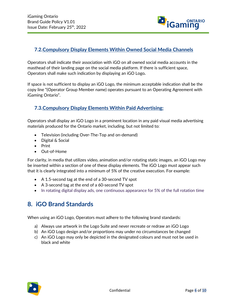

#### <span id="page-5-0"></span>**7.2.Compulsory Display Elements Within Owned Social Media Channels**

Operators shall indicate their association with iGO on all owned social media accounts in the masthead of their landing page on the social media platform. If there is sufficient space, Operators shall make such indication by displaying an iGO Logo**.**

If space is not sufficient to display an iGO Logo, the minimum acceptable indication shall be the copy line "(Operator Group Member name) operates pursuant to an Operating Agreement with iGaming Ontario".

#### <span id="page-5-1"></span>**7.3.Compulsory Display Elements Within Paid Advertising:**

Operators shall display an iGO Logo in a prominent location in any paid visual media advertising materials produced for the Ontario market, including, but not limited to:

- Television (including Over-The-Top and on-demand)
- Digital & Social
- Print
- Out-of-Home

For clarity, in media that utilizes video, animation and/or rotating static images, an iGO Logo may be inserted within a section of one of these display elements. The iGO Logo must appear such that it is clearly integrated into a minimum of 5% of the creative execution. For example:

- A 1.5-second tag at the end of a 30-second TV spot
- A 3-second tag at the end of a 60-second TV spot
- <span id="page-5-2"></span>• In rotating digital display ads, one continuous appearance for 5% of the full rotation time

#### **8. iGO Brand Standards**

When using an iGO Logo, Operators must adhere to the following brand standards:

- a) Always use artwork in the Logo Suite and never recreate or redraw an iGO Logo
- b) An iGO Logo design and/or proportions may under no circumstances be changed
- c) An iGO Logo may only be depicted in the designated colours and must not be used in black and white

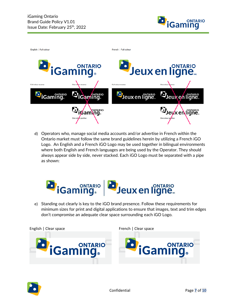



d) Operators who, manage social media accounts and/or advertise in French within the Ontario market must follow the same brand guidelines herein by utilizing a French iGO Logo. An English and a French iGO Logo may be used together in bilingual environments where both English and French languages are being used by the Operator. They should always appear side by side, never stacked. Each iGO Logo must be separated with a pipe as shown:



e) Standing out clearly is key to the iGO brand presence. Follow these requirements for minimum sizes for print and digital applications to ensure that images, text and trim edges don't compromise an adequate clear space surrounding each iGO Logo.

English | Clear space **French | Clear space** French | Clear space





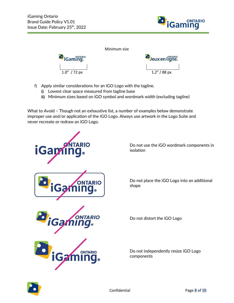



- f) Apply similar considerations for an iGO Logo with the tagline.
	- **i)** Lowest clear space measured from tagline base
	- **ii)** Minimum sizes based on iGO symbol and wordmark width (excluding tagline)

What to Avoid – Though not an exhaustive list, a number of examples below demonstrate improper use and/or application of the iGO Logo. Always use artwork in the Logo Suite and never recreate or redraw an iGO Logo.

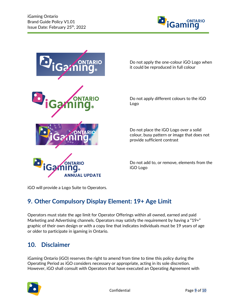



Do not apply the one-colour iGO Logo when it could be reproduced in full colour

Do not apply different colours to the iGO Logo

Do not place the iGO Logo over a solid colour, busy pattern or image that does not provide sufficient contrast

Do not add to, or remove, elements from the iGO Logo

iGO will provide a Logo Suite to Operators.

## <span id="page-8-0"></span>**9. Other Compulsory Display Element: 19+ Age Limit**

Operators must state the age limit for Operator Offerings within all owned, earned and paid Marketing and Advertising channels. Operators may satisfy the requirement by having a "19+" graphic of their own design or with a copy line that indicates individuals must be 19 years of age or older to participate in igaming in Ontario.

#### <span id="page-8-1"></span>**10. Disclaimer**

iGaming Ontario (iGO) reserves the right to amend from time to time this policy during the Operating Period as iGO considers necessary or appropriate, acting in its sole discretion. However, iGO shall consult with Operators that have executed an Operating Agreement with